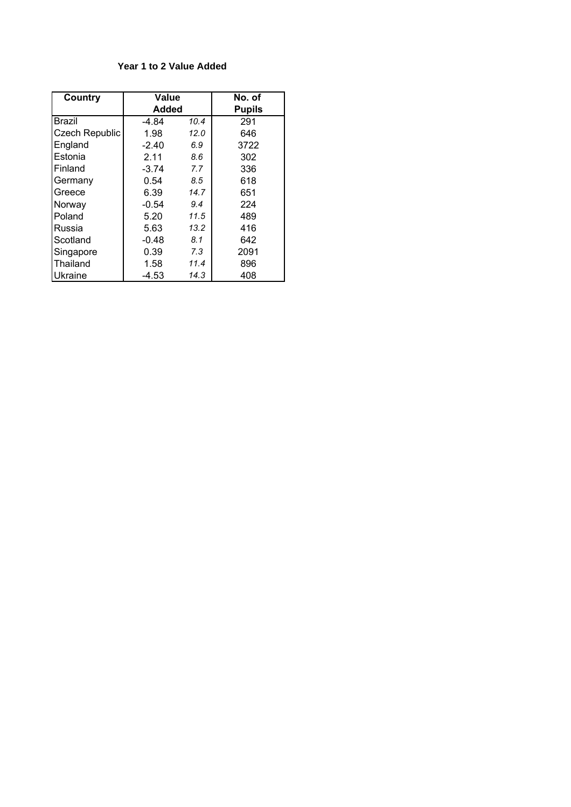## **Year 1 to 2 Value Added**

| Country        | Value        |      | No. of        |
|----------------|--------------|------|---------------|
|                | <b>Added</b> |      | <b>Pupils</b> |
| Brazil         | $-4.84$      | 10.4 | 291           |
| Czech Republic | 1.98         | 12.0 | 646           |
| England        | $-2.40$      | 6.9  | 3722          |
| Estonia        | 2.11         | 8.6  | 302           |
| Finland        | $-3.74$      | 7.7  | 336           |
| Germany        | 0.54         | 8.5  | 618           |
| Greece         | 6.39         | 14.7 | 651           |
| Norway         | $-0.54$      | 9.4  | 224           |
| Poland         | 5.20         | 11.5 | 489           |
| Russia         | 5.63         | 13.2 | 416           |
| Scotland       | $-0.48$      | 8.1  | 642           |
| Singapore      | 0.39         | 7.3  | 2091          |
| Thailand       | 1.58         | 11.4 | 896           |
| Ukraine        | $-4.53$      | 14.3 | 408           |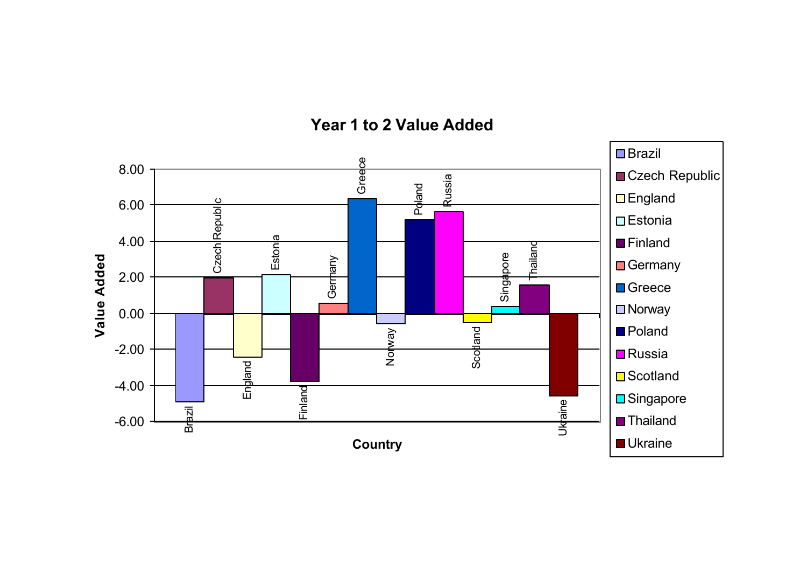

## **Year 1 to 2 Value Added**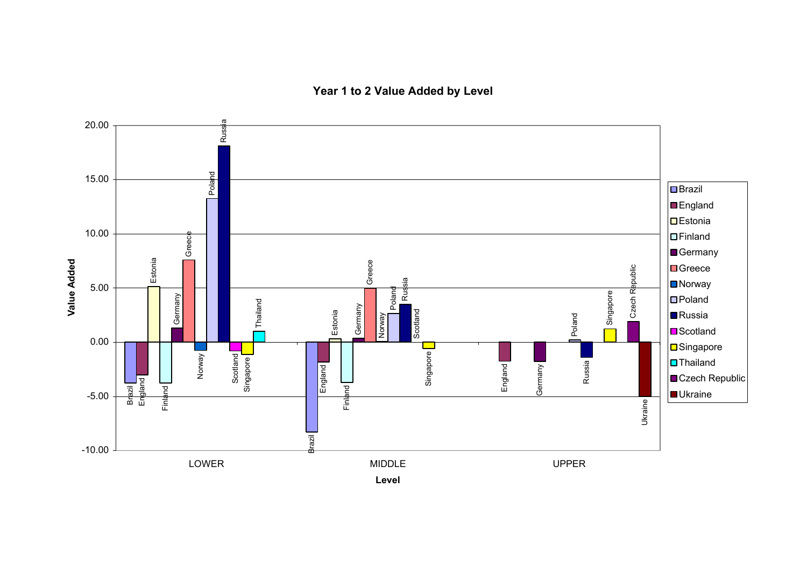**Year 1 to 2 Value Added by Level**

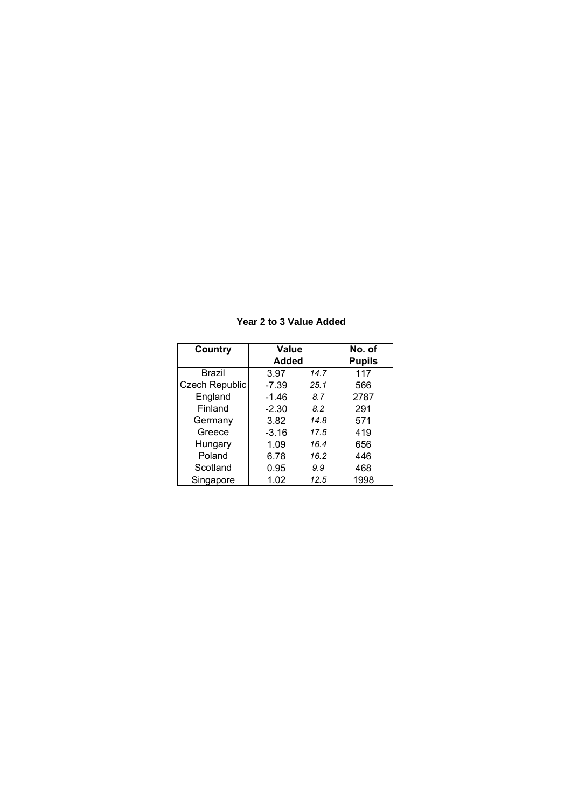## **Year 2 to 3 Value Added**

| Country        | Value   | No. of        |      |
|----------------|---------|---------------|------|
|                | Added   | <b>Pupils</b> |      |
| <b>Brazil</b>  | 3.97    | 14.7          | 117  |
| Czech Republic | $-7.39$ | 25.1          | 566  |
| England        | $-1.46$ | 8.7           | 2787 |
| Finland        | $-2.30$ | 8.2           | 291  |
| Germany        | 3.82    | 14.8          | 571  |
| Greece         | $-3.16$ | 17.5          | 419  |
| Hungary        | 1.09    | 16.4          | 656  |
| Poland         | 6.78    | 16.2          | 446  |
| Scotland       | 0.95    | 9.9           | 468  |
| Singapore      | 1.02    | 12.5          | 1998 |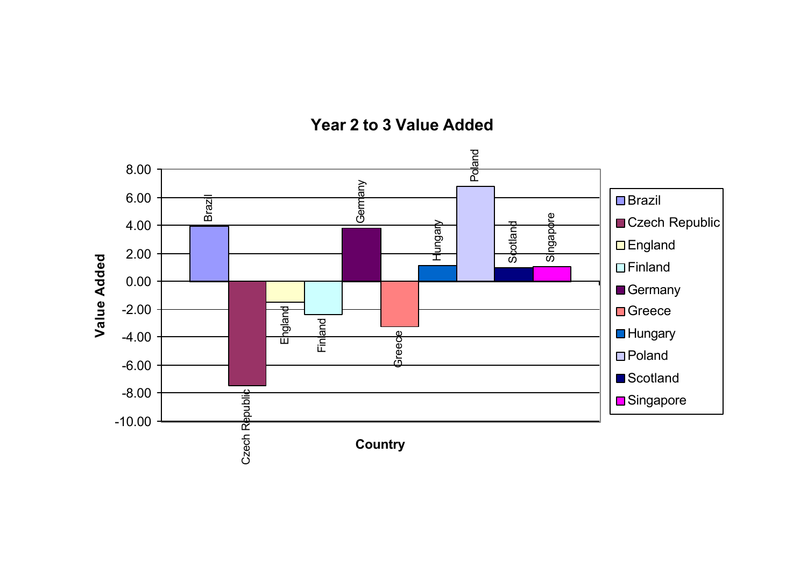

**Year 2 to 3 Value Added**